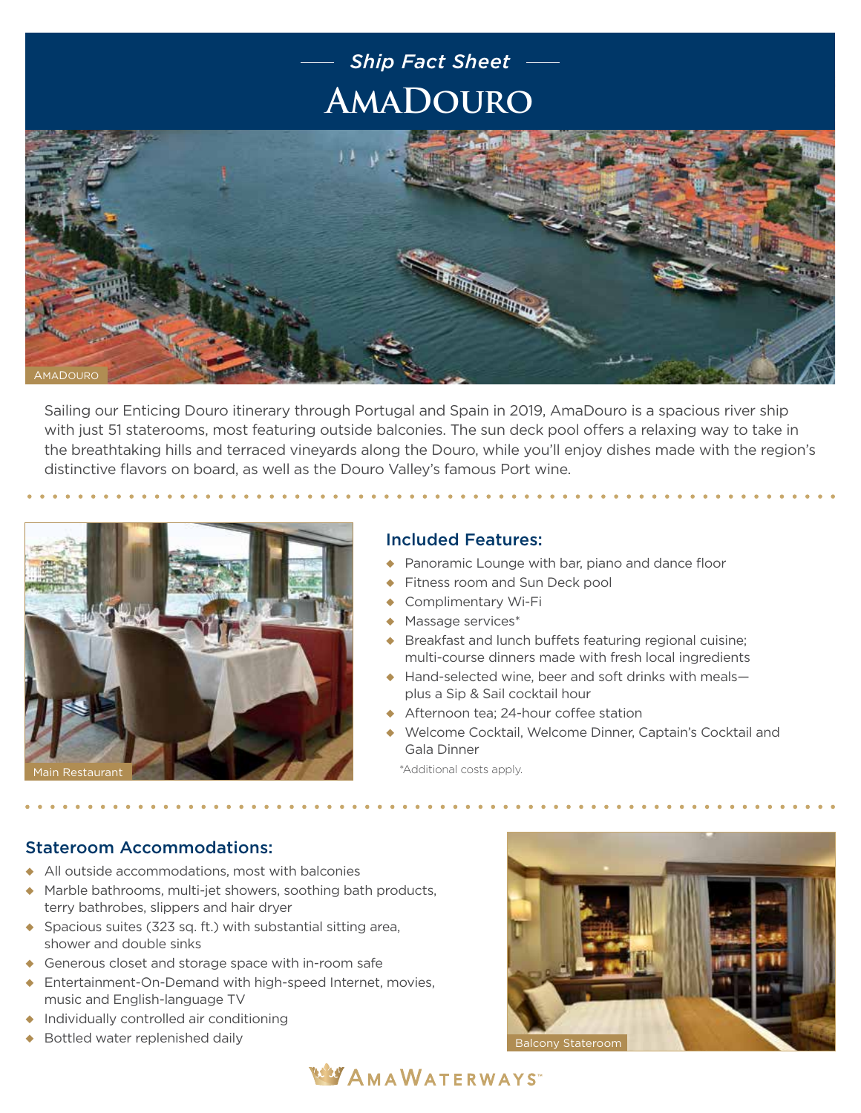## **AmaDouro** *Ship Fact Sheet*



Sailing our Enticing Douro itinerary through Portugal and Spain in 2019, AmaDouro is a spacious river ship with just 51 staterooms, most featuring outside balconies. The sun deck pool offers a relaxing way to take in the breathtaking hills and terraced vineyards along the Douro, while you'll enjoy dishes made with the region's distinctive flavors on board, as well as the Douro Valley's famous Port wine.



## Included Features:

- Panoramic Lounge with bar, piano and dance floor
- Fitness room and Sun Deck pool
- Complimentary Wi-Fi
- $\triangleleft$  Massage services\*
- $\triangle$  Breakfast and lunch buffets featuring regional cuisine; multi-course dinners made with fresh local ingredients
- $\leftrightarrow$  Hand-selected wine, beer and soft drinks with meals plus a Sip & Sail cocktail hour
- ◆ Afternoon tea: 24-hour coffee station
- ◆ Welcome Cocktail, Welcome Dinner, Captain's Cocktail and Gala Dinner

\*Additional costs apply.

## Stateroom Accommodations:

- $\triangle$  All outside accommodations, most with balconies
- $\triangle$  Marble bathrooms, multi-jet showers, soothing bath products, terry bathrobes, slippers and hair dryer
- $\bullet$  Spacious suites (323 sq. ft.) with substantial sitting area, shower and double sinks
- $\triangle$  Generous closet and storage space with in-room safe
- $\triangleq$  Entertainment-On-Demand with high-speed Internet, movies, music and English-language TV
- $\bullet$  Individually controlled air conditioning
- Bottled water replenished daily and the state of the Balcony Stateroom